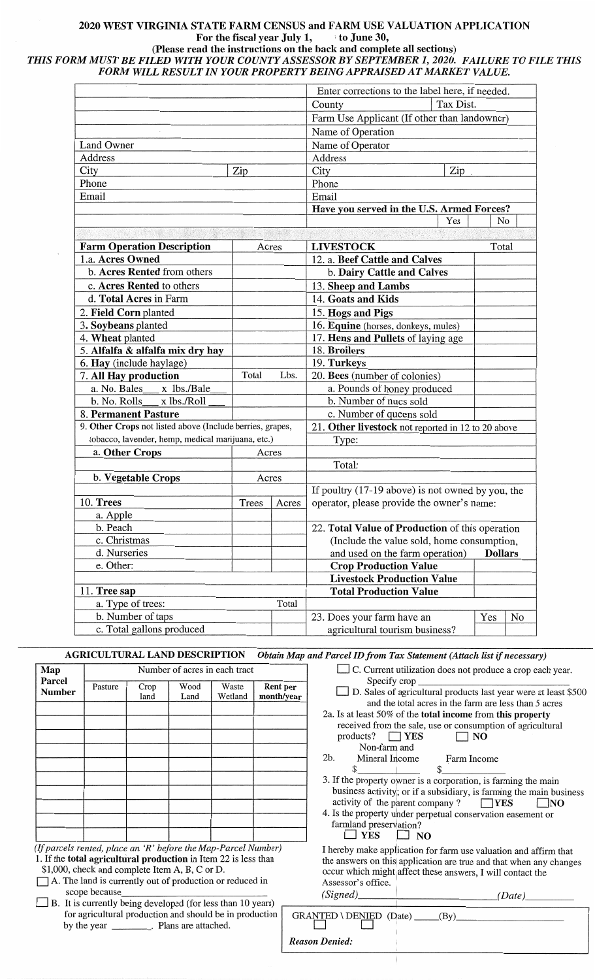# **2020 WEST VIRGINIA STATE FARM CENSUS and FARM USE VALUATION APPLICATION For the fiscal year July 1,** , **to June 30,**

**(Please read the instructions on the back and complete all sections)** 

*THIS FORM MUST BE FILED WITH YOUR COUNTY ASSESSOR BY SEPTEMBER 1, 2020. FAILURE TO FILE THIS FORM WILL RESULT IN YOUR PROPERTY BEING APPRAISED AT MARKET VALUE.* 

|                                                           |                                                   |                                              | Enter corrections to the label here, if needed.     |                |  |
|-----------------------------------------------------------|---------------------------------------------------|----------------------------------------------|-----------------------------------------------------|----------------|--|
|                                                           |                                                   |                                              | Tax Dist.<br>County                                 |                |  |
|                                                           |                                                   | Farm Use Applicant (If other than landowner) |                                                     |                |  |
|                                                           |                                                   | Name of Operation                            |                                                     |                |  |
| <b>Land Owner</b>                                         |                                                   | Name of Operator                             |                                                     |                |  |
| Address                                                   |                                                   | Address                                      |                                                     |                |  |
| City<br>Zip                                               |                                                   |                                              | City<br>Zip                                         |                |  |
| Phone                                                     |                                                   |                                              | Phone                                               |                |  |
| Email                                                     |                                                   |                                              | Email                                               |                |  |
|                                                           |                                                   | Have you served in the U.S. Armed Forces?    |                                                     |                |  |
|                                                           |                                                   |                                              | Yes                                                 | No             |  |
|                                                           |                                                   |                                              |                                                     |                |  |
| <b>Farm Operation Description</b>                         | Acres                                             |                                              | <b>LIVESTOCK</b>                                    | Total          |  |
| 1.a. Acres Owned                                          |                                                   |                                              | 12. a. Beef Cattle and Calves                       |                |  |
| b. Acres Rented from others                               |                                                   |                                              | b. Dairy Cattle and Calves                          |                |  |
| c. Acres Rented to others                                 |                                                   |                                              | 13. Sheep and Lambs                                 |                |  |
| d. Total Acres in Farm                                    |                                                   |                                              | 14. Goats and Kids                                  |                |  |
| 2. Field Corn planted                                     |                                                   |                                              | 15. Hogs and Pigs                                   |                |  |
| 3. Soybeans planted                                       |                                                   |                                              | 16. Equine (horses, donkeys, mules)                 |                |  |
| 4. Wheat planted                                          |                                                   |                                              | 17. Hens and Pullets of laying age                  |                |  |
| 5. Alfalfa & alfalfa mix dry hay                          |                                                   |                                              | 18. Broilers                                        |                |  |
| 6. Hay (include haylage)                                  |                                                   |                                              | 19. Turkeys                                         |                |  |
| 7. All Hay production                                     | Total                                             | Lbs.                                         | 20. Bees (number of colonies)                       |                |  |
| x lbs./Bale<br>a. No. Bales                               |                                                   |                                              | a. Pounds of honey produced                         |                |  |
| b. No. Rolls x lbs./Roll                                  |                                                   |                                              | b. Number of nucs sold                              |                |  |
| 8. Permanent Pasture                                      |                                                   |                                              | c. Number of queens sold                            |                |  |
| 9. Other Crops not listed above (Include berries, grapes, |                                                   |                                              | 21. Other livestock not reported in 12 to 20 above  |                |  |
|                                                           | tobacco, lavender, hemp, medical marijuana, etc.) |                                              | Type:                                               |                |  |
| a. Other Crops                                            | Acres                                             |                                              |                                                     |                |  |
|                                                           |                                                   |                                              | Total:                                              |                |  |
| b. Vegetable Crops                                        | Acres                                             |                                              |                                                     |                |  |
|                                                           |                                                   |                                              | If poultry $(17-19$ above) is not owned by you, the |                |  |
| 10. Trees                                                 | Trees                                             | Acres                                        | operator, please provide the owner's name:          |                |  |
| a. Apple                                                  |                                                   |                                              |                                                     |                |  |
| b. Peach                                                  |                                                   |                                              | 22. Total Value of Production of this operation     |                |  |
| c. Christmas                                              |                                                   |                                              | (Include the value sold, home consumption,          |                |  |
| d. Nurseries                                              |                                                   |                                              | and used on the farm operation)                     | <b>Dollars</b> |  |
| e. Other:                                                 |                                                   |                                              | <b>Crop Production Value</b>                        |                |  |
|                                                           |                                                   |                                              | <b>Livestock Production Value</b>                   |                |  |
| 11. Tree sap                                              |                                                   |                                              | <b>Total Production Value</b>                       |                |  |
| a. Type of trees:                                         |                                                   | Total                                        |                                                     |                |  |
| b. Number of taps                                         |                                                   | 23. Does your farm have an                   | No<br>Yes                                           |                |  |
| c. Total gallons produced                                 |                                                   | agricultural tourism business?               |                                                     |                |  |

**AGRICULTURAL LAND DESCRIPTION** *Obtain Map and Parcel ID from Tax Statement (Attach list* if *necessary)* 

| Map                                                                                                                                                                                 | Number of acres in each tract |              |              |                  |                                                                                                                                                                                                      | C. Current utilization does not produce a crop each year.                       |  |  |
|-------------------------------------------------------------------------------------------------------------------------------------------------------------------------------------|-------------------------------|--------------|--------------|------------------|------------------------------------------------------------------------------------------------------------------------------------------------------------------------------------------------------|---------------------------------------------------------------------------------|--|--|
| <b>Parcel</b><br><b>Number</b>                                                                                                                                                      | Pasture                       | Crop<br>land | Wood<br>Land | Waste<br>Wetland | <b>Rent per</b><br>month/year                                                                                                                                                                        | and the total acres in the farm are less than 5 acres                           |  |  |
|                                                                                                                                                                                     |                               |              |              |                  |                                                                                                                                                                                                      | 2a. Is at least 50% of the total income from this property                      |  |  |
|                                                                                                                                                                                     |                               |              |              |                  |                                                                                                                                                                                                      | received from the sale, use or consumption of agricultural                      |  |  |
|                                                                                                                                                                                     |                               |              |              |                  |                                                                                                                                                                                                      | products? $\Box$ YES<br>$\Box$ NO                                               |  |  |
|                                                                                                                                                                                     |                               |              |              |                  |                                                                                                                                                                                                      | Non-farm and                                                                    |  |  |
|                                                                                                                                                                                     |                               |              |              |                  |                                                                                                                                                                                                      | Mineral Income<br>2b.<br>Farm Income                                            |  |  |
|                                                                                                                                                                                     |                               |              |              |                  |                                                                                                                                                                                                      | $\mathcal{S}$<br>3. If the property owner is a corporation, is farming the main |  |  |
|                                                                                                                                                                                     |                               |              |              |                  |                                                                                                                                                                                                      | business activity; or if a subsidiary, is farming the main business             |  |  |
|                                                                                                                                                                                     |                               |              |              |                  |                                                                                                                                                                                                      | activity of the parent company ? $\Box$ YES<br>$\Box$ NO                        |  |  |
|                                                                                                                                                                                     |                               |              |              |                  |                                                                                                                                                                                                      | 4. Is the property under perpetual conservation easement or                     |  |  |
|                                                                                                                                                                                     |                               |              |              |                  |                                                                                                                                                                                                      | farmland preservation?                                                          |  |  |
|                                                                                                                                                                                     |                               |              |              |                  |                                                                                                                                                                                                      | <b>YES</b><br>NO.                                                               |  |  |
| (If parcels rented, place an 'R' before the Map-Parcel Number)<br>1. If the total agricultural production in Item 22 is less than<br>\$1,000, check and complete Item A, B, C or D. |                               |              |              |                  | I hereby make application for farm use valuation and affirm that<br>the answers on this application are true and that when any changes<br>occur which might affect these answers, I will contact the |                                                                                 |  |  |
| A. The land is currently out of production or reduced in                                                                                                                            |                               |              |              |                  | Assessor's office.                                                                                                                                                                                   |                                                                                 |  |  |
| scope because_                                                                                                                                                                      |                               |              |              |                  |                                                                                                                                                                                                      | $(Signed)$ $(Date)$                                                             |  |  |
| $\Box$ B. It is currently being developed (for less than 10 years)<br>for agricultural production and should be in production<br>by the year _________. Plans are attached.         |                               |              |              |                  |                                                                                                                                                                                                      |                                                                                 |  |  |
|                                                                                                                                                                                     |                               |              |              |                  |                                                                                                                                                                                                      | <b>Reason Denied:</b>                                                           |  |  |

 $\overline{1}$